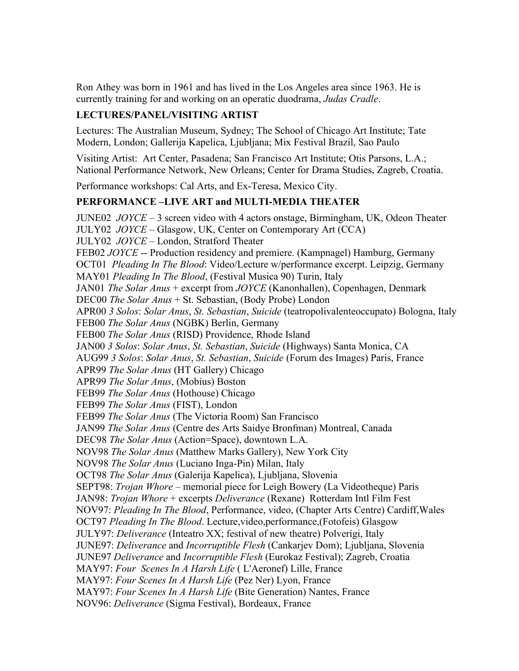Ron Athey was born in 1961 and has lived in the Los Angeles area since 1963. He is currently training for and working on an operatic duodrama, *Judas Cradle*.

### LECTURES/PANEL/VISITING ARTIST

Lectures: The Australian Museum, Sydney; The School of Chicago Art Institute; Tate Modern, London; Gallerija Kapelica, Ljubljana; Mix Festival Brazil, Sao Paulo

Visiting Artist: Art Center, Pasadena; San Francisco Art Institute; Otis Parsons, L.A.; National Performance Network, New Orleans; Center for Drama Studies, Zagreb, Croatia.

Performance workshops: Cal Arts, and Ex-Teresa, Mexico City.

### PERFORMANCE –LIVE ART and MULTI-MEDIA THEATER

JUNE02 *JOYCE* – 3 screen video with 4 actors onstage, Birmingham, UK, Odeon Theater JULY02 *JOYCE* – Glasgow, UK, Center on Contemporary Art (CCA) JULY02 *JOYCE* – London, Stratford Theater FEB02 *JOYCE* -- Production residency and premiere. (Kampnagel) Hamburg, Germany OCT01 *Pleading In The Blood*: Video/Lecture w/performance excerpt. Leipzig, Germany MAY01 *Pleading In The Blood*, (Festival Musica 90) Turin, Italy JAN01 *The Solar Anus* + excerpt from *JOYCE* (Kanonhallen), Copenhagen, Denmark DEC00 *The Solar Anus* + St. Sebastian, (Body Probe) London APR00 *3 Solos*: *Solar Anus*, *St. Sebastian*, *Suicide* (teatropolivalenteoccupato) Bologna, Italy FEB00 *The Solar Anus* (NGBK) Berlin, Germany FEB00 *The Solar Anus* (RISD) Providence, Rhode Island JAN00 *3 Solos*: *Solar Anus*, *St. Sebastian*, *Suicide* (Highways) Santa Monica, CA AUG99 *3 Solos*: *Solar Anus*, *St. Sebastian*, *Suicide* (Forum des Images) Paris, France APR99 *The Solar Anus* (HT Gallery) Chicago APR99 *The Solar Anus*, (Mobius) Boston FEB99 *The Solar Anus* (Hothouse) Chicago FEB99 *The Solar Anus* (FIST), London FEB99 *The Solar Anus* (The Victoria Room) San Francisco JAN99 *The Solar Anus* (Centre des Arts Saidye Bronfman) Montreal, Canada DEC98 *The Solar Anus* (Action=Space), downtown L.A. NOV98 *The Solar Anus* (Matthew Marks Gallery), New York City NOV98 *The Solar Anus* (Luciano Inga-Pin) Milan, Italy OCT98 *The Solar Anus* (Galerija Kapelica), Ljubljana, Slovenia SEPT98: *Trojan Whore* – memorial piece for Leigh Bowery (La Videotheque) Paris JAN98: *Trojan Whore* + excerpts *Deliverance* (Rexane) Rotterdam Intl Film Fest NOV97: *Pleading In The Blood*, Performance, video, (Chapter Arts Centre) Cardiff,Wales OCT97 *Pleading In The Blood*. Lecture,video,performance,(Fotofeis) Glasgow JULY97: *Deliverance* (Inteatro XX; festival of new theatre) Polverigi, Italy JUNE97: *Deliverance* and *Incorruptible Flesh* (Cankarjev Dom); Ljubljana, Slovenia JUNE97 *Deliverance* and *Incorruptible Flesh* (Eurokaz Festival); Zagreb, Croatia MAY97: *Four Scenes In A Harsh Life* ( L'Aeronef) Lille, France MAY97: *Four Scenes In A Harsh Life* (Pez Ner) Lyon, France MAY97: *Four Scenes In A Harsh Life* (Bite Generation) Nantes, France NOV96: *Deliverance* (Sigma Festival), Bordeaux, France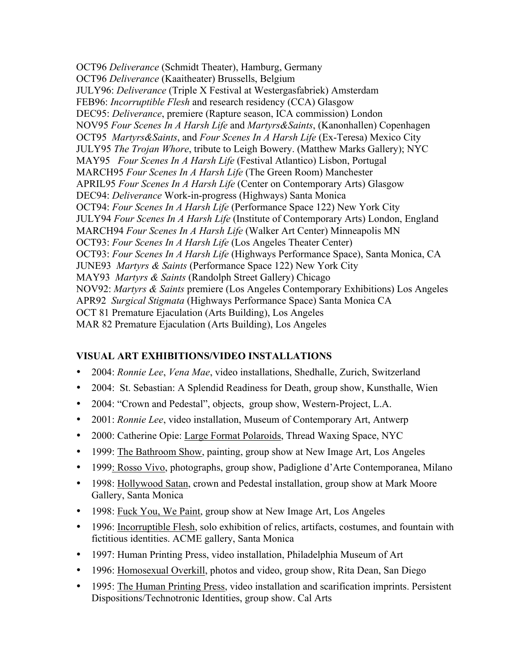OCT96 *Deliverance* (Schmidt Theater), Hamburg, Germany OCT96 *Deliverance* (Kaaitheater) Brussells, Belgium JULY96: *Deliverance* (Triple X Festival at Westergasfabriek) Amsterdam FEB96: *Incorruptible Flesh* and research residency (CCA) Glasgow DEC95: *Deliverance*, premiere (Rapture season, ICA commission) London NOV95 *Four Scenes In A Harsh Life* and *Martyrs&Saints*, (Kanonhallen) Copenhagen OCT95 *Martyrs&Saints*, and *Four Scenes In A Harsh Life* (Ex-Teresa) Mexico City JULY95 *The Trojan Whore*, tribute to Leigh Bowery. (Matthew Marks Gallery); NYC MAY95 *Four Scenes In A Harsh Life* (Festival Atlantico) Lisbon, Portugal MARCH95 *Four Scenes In A Harsh Life* (The Green Room) Manchester APRIL95 *Four Scenes In A Harsh Life* (Center on Contemporary Arts) Glasgow DEC94: *Deliverance* Work-in-progress (Highways) Santa Monica OCT94: *Four Scenes In A Harsh Life* (Performance Space 122) New York City JULY94 *Four Scenes In A Harsh Life* (Institute of Contemporary Arts) London, England MARCH94 *Four Scenes In A Harsh Life* (Walker Art Center) Minneapolis MN OCT93: *Four Scenes In A Harsh Life* (Los Angeles Theater Center) OCT93: *Four Scenes In A Harsh Life* (Highways Performance Space), Santa Monica, CA JUNE93 *Martyrs & Saints* (Performance Space 122) New York City MAY93 *Martyrs & Saints* (Randolph Street Gallery) Chicago NOV92: *Martyrs & Saints* premiere (Los Angeles Contemporary Exhibitions) Los Angeles APR92 *Surgical Stigmata* (Highways Performance Space) Santa Monica CA OCT 81 Premature Ejaculation (Arts Building), Los Angeles MAR 82 Premature Ejaculation (Arts Building), Los Angeles

## VISUAL ART EXHIBITIONS/VIDEO INSTALLATIONS

- 2004: *Ronnie Lee*, *Vena Mae*, video installations, Shedhalle, Zurich, Switzerland
- 2004: St. Sebastian: A Splendid Readiness for Death, group show, Kunsthalle, Wien
- 2004: "Crown and Pedestal", objects, group show, Western-Project, L.A.
- 2001: *Ronnie Lee*, video installation, Museum of Contemporary Art, Antwerp
- 2000: Catherine Opie: Large Format Polaroids, Thread Waxing Space, NYC
- 1999: The Bathroom Show, painting, group show at New Image Art, Los Angeles
- 1999: Rosso Vivo, photographs, group show, Padiglione d'Arte Contemporanea, Milano
- 1998: Hollywood Satan, crown and Pedestal installation, group show at Mark Moore Gallery, Santa Monica
- 1998: Fuck You, We Paint, group show at New Image Art, Los Angeles
- 1996: Incorruptible Flesh, solo exhibition of relics, artifacts, costumes, and fountain with fictitious identities. ACME gallery, Santa Monica
- 1997: Human Printing Press, video installation, Philadelphia Museum of Art
- 1996: Homosexual Overkill, photos and video, group show, Rita Dean, San Diego
- 1995: The Human Printing Press, video installation and scarification imprints. Persistent Dispositions/Technotronic Identities, group show. Cal Arts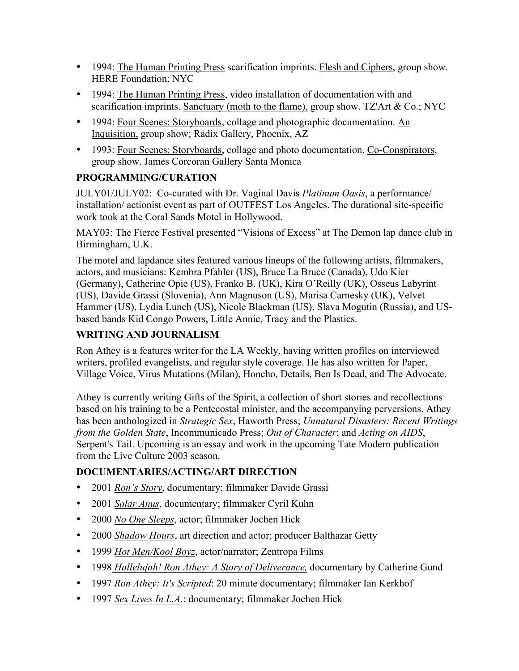- 1994: The Human Printing Press scarification imprints. Flesh and Ciphers, group show. HERE Foundation; NYC
- 1994: The Human Printing Press, video installation of documentation with and scarification imprints. Sanctuary (moth to the flame), group show. TZ'Art & Co.; NYC
- 1994: Four Scenes: Storyboards, collage and photographic documentation. An Inquisition, group show; Radix Gallery, Phoenix, AZ
- 1993: Four Scenes: Storyboards, collage and photo documentation. Co-Conspirators, group show. James Corcoran Gallery Santa Monica

## PROGRAMMING/CURATION

JULY01/JULY02: Co-curated with Dr. Vaginal Davis *Platinum Oasis*, a performance/ installation/ actionist event as part of OUTFEST Los Angeles. The durational site-specific work took at the Coral Sands Motel in Hollywood.

MAY03: The Fierce Festival presented "Visions of Excess" at The Demon lap dance club in Birmingham, U.K.

The motel and lapdance sites featured various lineups of the following artists, filmmakers, actors, and musicians: Kembra Pfahler (US), Bruce La Bruce (Canada), Udo Kier (Germany), Catherine Opie (US), Franko B. (UK), Kira O'Reilly (UK), Osseus Labyrint (US), Davide Grassi (Slovenia), Ann Magnuson (US), Marisa Carnesky (UK), Velvet Hammer (US), Lydia Lunch (US), Nicole Blackman (US), Slava Mogutin (Russia), and USbased bands Kid Congo Powers, Little Annie, Tracy and the Plastics.

# WRITING AND JOURNALISM

Ron Athey is a features writer for the LA Weekly, having written profiles on interviewed writers, profiled evangelists, and regular style coverage. He has also written for Paper, Village Voice, Virus Mutations (Milan), Honcho, Details, Ben Is Dead, and The Advocate.

Athey is currently writing Gifts of the Spirit, a collection of short stories and recollections based on his training to be a Pentecostal minister, and the accompanying perversions. Athey has been anthologized in *Strategic Sex*, Haworth Press; *Unnatural Disasters: Recent Writings from the Golden State*, Incommunicado Press; *Out of Character*; and *Acting on AIDS*, Serpent's Tail. Upcoming is an essay and work in the upcoming Tate Modern publication from the Live Culture 2003 season.

## DOCUMENTARIES/ACTING/ART DIRECTION

- 2001 *Ron's Story*, documentary; filmmaker Davide Grassi
- 2001 *Solar Anus*, documentary; filmmaker Cyril Kuhn
- 2000 *No One Sleeps*, actor; filmmaker Jochen Hick
- 2000 *Shadow Hours*, art direction and actor; producer Balthazar Getty
- 1999 *Hot Men/Kool Boyz*, actor/narrator; Zentropa Films
- 1998 *Hallelujah! Ron Athey: A Story of Deliverance,* documentary by Catherine Gund
- 1997 *Ron Athey: It's Scripted*: 20 minute documentary; filmmaker Ian Kerkhof
- 1997 *Sex Lives In L.A*.: documentary; filmmaker Jochen Hick